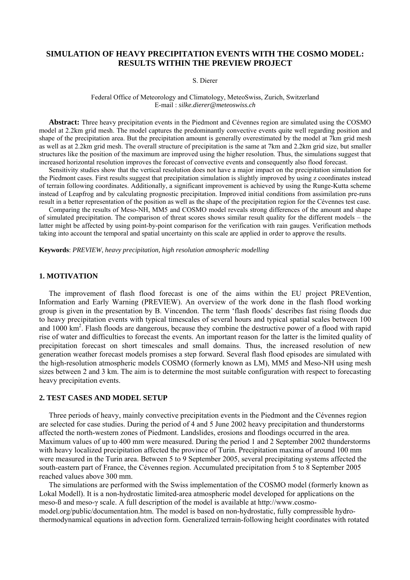# **SIMULATION OF HEAVY PRECIPITATION EVENTS WITH THE COSMO MODEL: RESULTS WITHIN THE PREVIEW PROJECT**

### S. Dierer

#### Federal Office of Meteorology and Climatology, MeteoSwiss, Zurich, Switzerland E-mail : *silke.dierer@meteoswiss.ch*

**Abstract:** Three heavy precipitation events in the Piedmont and Cévennes region are simulated using the COSMO model at 2.2km grid mesh. The model captures the predominantly convective events quite well regarding position and shape of the precipitation area. But the precipitation amount is generally overestimated by the model at 7km grid mesh as well as at 2.2km grid mesh. The overall structure of precipitation is the same at 7km and 2.2km grid size, but smaller structures like the position of the maximum are improved using the higher resolution. Thus, the simulations suggest that increased horizontal resolution improves the forecast of convective events and consequently also flood forecast.

Sensitivity studies show that the vertical resolution does not have a major impact on the precipitation simulation for the Piedmont cases. First results suggest that precipitation simulation is slightly improved by using z coordinates instead of terrain following coordinates. Additionally, a significant improvement is achieved by using the Runge-Kutta scheme instead of Leapfrog and by calculating prognostic precipitation. Improved initial conditions from assimilation pre-runs result in a better representation of the position as well as the shape of the precipitation region for the Cévennes test case.

Comparing the results of Meso-NH, MM5 and COSMO model reveals strong differences of the amount and shape of simulated precipitation. The comparison of threat scores shows similar result quality for the different models – the latter might be affected by using point-by-point comparison for the verification with rain gauges. Verification methods taking into account the temporal and spatial uncertainty on this scale are applied in order to approve the results.

**Keywords**: *PREVIEW*, *heavy precipitation, high resolution atmospheric modelling* 

## **1. MOTIVATION**

The improvement of flash flood forecast is one of the aims within the EU project PREVention, Information and Early Warning (PREVIEW). An overview of the work done in the flash flood working group is given in the presentation by B. Vincendon. The term 'flash floods' describes fast rising floods due to heavy precipitation events with typical timescales of several hours and typical spatial scales between 100 and 1000 km<sup>2</sup>. Flash floods are dangerous, because they combine the destructive power of a flood with rapid rise of water and difficulties to forecast the events. An important reason for the latter is the limited quality of precipitation forecast on short timescales and small domains. Thus, the increased resolution of new generation weather forecast models promises a step forward. Several flash flood episodes are simulated with the high-resolution atmospheric models COSMO (formerly known as LM), MM5 and Meso-NH using mesh sizes between 2 and 3 km. The aim is to determine the most suitable configuration with respect to forecasting heavy precipitation events.

## **2. TEST CASES AND MODEL SETUP**

Three periods of heavy, mainly convective precipitation events in the Piedmont and the Cévennes region are selected for case studies. During the period of 4 and 5 June 2002 heavy precipitation and thunderstorms affected the north-western zones of Piedmont. Landslides, erosions and floodings occurred in the area. Maximum values of up to 400 mm were measured. During the period 1 and 2 September 2002 thunderstorms with heavy localized precipitation affected the province of Turin. Precipitation maxima of around 100 mm were measured in the Turin area. Between 5 to 9 September 2005, several precipitating systems affected the south-eastern part of France, the Cévennes region. Accumulated precipitation from 5 to 8 September 2005 reached values above 300 mm.

The simulations are performed with the Swiss implementation of the COSMO model (formerly known as Lokal Modell). It is a non-hydrostatic limited-area atmospheric model developed for applications on the meso-ß and meso-γ scale. A full description of the model is available at http://www.cosmomodel.org/public/documentation.htm. The model is based on non-hydrostatic, fully compressible hydrothermodynamical equations in advection form. Generalized terrain-following height coordinates with rotated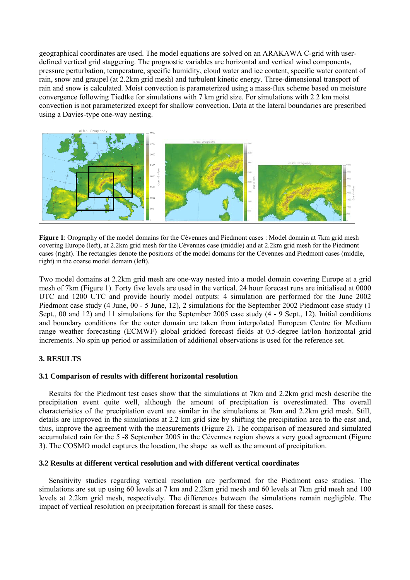geographical coordinates are used. The model equations are solved on an ARAKAWA C-grid with userdefined vertical grid staggering. The prognostic variables are horizontal and vertical wind components, pressure perturbation, temperature, specific humidity, cloud water and ice content, specific water content of rain, snow and graupel (at 2.2km grid mesh) and turbulent kinetic energy. Three-dimensional transport of rain and snow is calculated. Moist convection is parameterized using a mass-flux scheme based on moisture convergence following Tiedtke for simulations with 7 km grid size. For simulations with 2.2 km moist convection is not parameterized except for shallow convection. Data at the lateral boundaries are prescribed using a Davies-type one-way nesting.



**Figure 1**: Orography of the model domains for the Cévennes and Piedmont cases : Model domain at 7km grid mesh covering Europe (left), at 2.2km grid mesh for the Cévennes case (middle) and at 2.2km grid mesh for the Piedmont cases (right). The rectangles denote the positions of the model domains for the Cévennes and Piedmont cases (middle, right) in the coarse model domain (left).

Two model domains at 2.2km grid mesh are one-way nested into a model domain covering Europe at a grid mesh of 7km (Figure 1). Forty five levels are used in the vertical. 24 hour forecast runs are initialised at 0000 UTC and 1200 UTC and provide hourly model outputs: 4 simulation are performed for the June 2002 Piedmont case study (4 June, 00 - 5 June, 12), 2 simulations for the September 2002 Piedmont case study (1 Sept., 00 and 12) and 11 simulations for the September 2005 case study (4 - 9 Sept., 12). Initial conditions and boundary conditions for the outer domain are taken from interpolated European Centre for Medium range weather forecasting (ECMWF) global gridded forecast fields at 0.5-degree lat/lon horizontal grid increments. No spin up period or assimilation of additional observations is used for the reference set.

# **3. RESULTS**

## **3.1 Comparison of results with different horizontal resolution**

Results for the Piedmont test cases show that the simulations at 7km and 2.2km grid mesh describe the precipitation event quite well, although the amount of precipitation is overestimated. The overall characteristics of the precipitation event are similar in the simulations at 7km and 2.2km grid mesh. Still, details are improved in the simulations at 2.2 km grid size by shifting the precipitation area to the east and, thus, improve the agreement with the measurements (Figure 2). The comparison of measured and simulated accumulated rain for the 5 -8 September 2005 in the Cévennes region shows a very good agreement (Figure 3). The COSMO model captures the location, the shape as well as the amount of precipitation.

## **3.2 Results at different vertical resolution and with different vertical coordinates**

Sensitivity studies regarding vertical resolution are performed for the Piedmont case studies. The simulations are set up using 60 levels at 7 km and 2.2km grid mesh and 60 levels at 7 km grid mesh and 100 levels at 2.2km grid mesh, respectively. The differences between the simulations remain negligible. The impact of vertical resolution on precipitation forecast is small for these cases.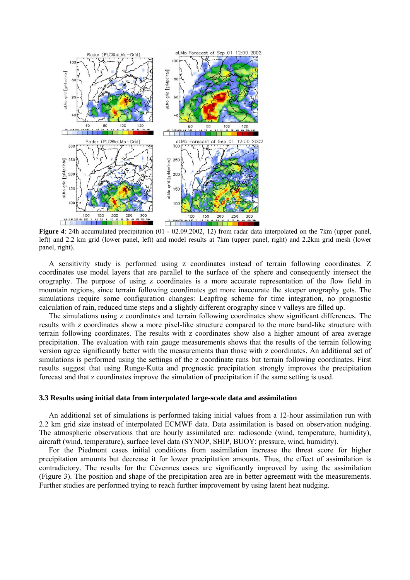

**Figure 4**: 24h accumulated precipitation (01 - 02.09.2002, 12) from radar data interpolated on the 7km (upper panel, left) and 2.2 km grid (lower panel, left) and model results at 7km (upper panel, right) and 2.2km grid mesh (lower panel, right).

A sensitivity study is performed using z coordinates instead of terrain following coordinates. Z coordinates use model layers that are parallel to the surface of the sphere and consequently intersect the orography. The purpose of using z coordinates is a more accurate representation of the flow field in mountain regions, since terrain following coordinates get more inaccurate the steeper orography gets. The simulations require some configuration changes: Leapfrog scheme for time integration, no prognostic calculation of rain, reduced time steps and a slightly different orography since v valleys are filled up.

The simulations using z coordinates and terrain following coordinates show significant differences. The results with z coordinates show a more pixel-like structure compared to the more band-like structure with terrain following coordinates. The results with z coordinates show also a higher amount of area average precipitation. The evaluation with rain gauge measurements shows that the results of the terrain following version agree significantly better with the measurements than those with z coordinates. An additional set of simulations is performed using the settings of the z coordinate runs but terrain following coordinates. First results suggest that using Runge-Kutta and prognostic precipitation strongly improves the precipitation forecast and that z coordinates improve the simulation of precipitation if the same setting is used.

#### **3.3 Results using initial data from interpolated large-scale data and assimilation**

An additional set of simulations is performed taking initial values from a 12-hour assimilation run with 2.2 km grid size instead of interpolated ECMWF data. Data assimilation is based on observation nudging. The atmospheric observations that are hourly assimilated are: radiosonde (wind, temperature, humidity), aircraft (wind, temperature), surface level data (SYNOP, SHIP, BUOY: pressure, wind, humidity).

For the Piedmont cases initial conditions from assimilation increase the threat score for higher precipitation amounts but decrease it for lower precipitation amounts. Thus, the effect of assimilation is contradictory. The results for the Cévennes cases are significantly improved by using the assimilation (Figure 3). The position and shape of the precipitation area are in better agreement with the measurements. Further studies are performed trying to reach further improvement by using latent heat nudging.